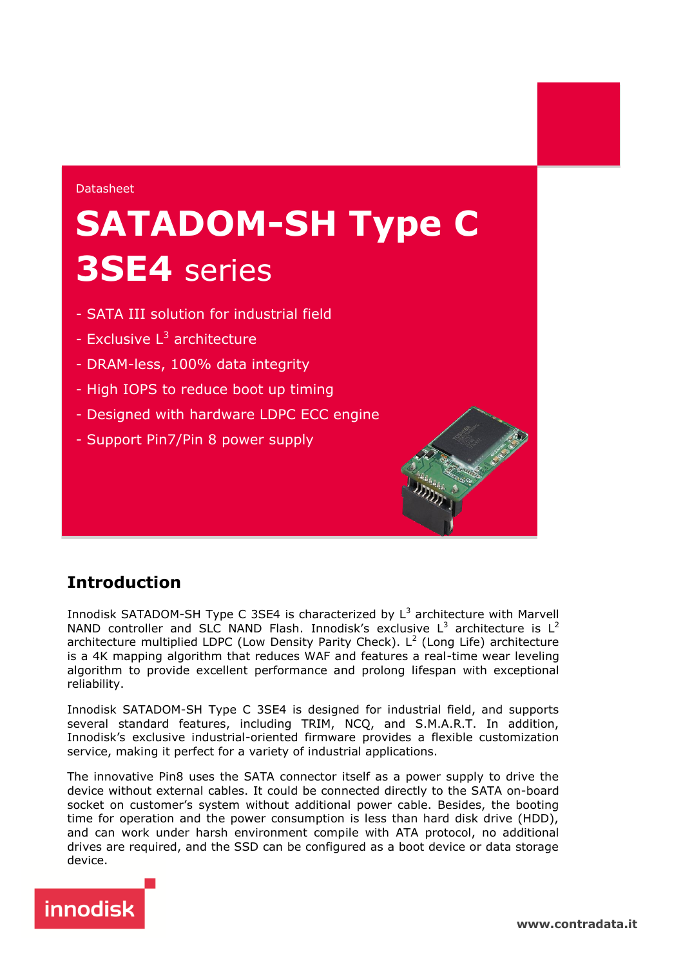#### Datasheet

# **SATADOM-SH Type C 3SE4** series

- SATA III solution for industrial field
- Exclusive L<sup>3</sup> architecture
- DRAM-less, 100% data integrity
- High IOPS to reduce boot up timing
- Designed with hardware LDPC ECC engine
- Support Pin7/Pin 8 power supply

# **Introduction**

Innodisk SATADOM-SH Type C 3SE4 is characterized by  $L^3$  architecture with Marvell NAND controller and SLC NAND Flash. Innodisk's exclusive  $L^3$  architecture is  $L^2$ architecture multiplied LDPC (Low Density Parity Check). L<sup>2</sup> (Long Life) architecture is a 4K mapping algorithm that reduces WAF and features a real-time wear leveling algorithm to provide excellent performance and prolong lifespan with exceptional reliability.

Innodisk SATADOM-SH Type C 3SE4 is designed for industrial field, and supports several standard features, including TRIM, NCQ, and S.M.A.R.T. In addition, Innodisk's exclusive industrial-oriented firmware provides a flexible customization service, making it perfect for a variety of industrial applications.

The innovative Pin8 uses the SATA connector itself as a power supply to drive the device without external cables. It could be connected directly to the SATA on-board socket on customer's system without additional power cable. Besides, the booting time for operation and the power consumption is less than hard disk drive (HDD), and can work under harsh environment compile with ATA protocol, no additional drives are required, and the SSD can be configured as a boot device or data storage device.